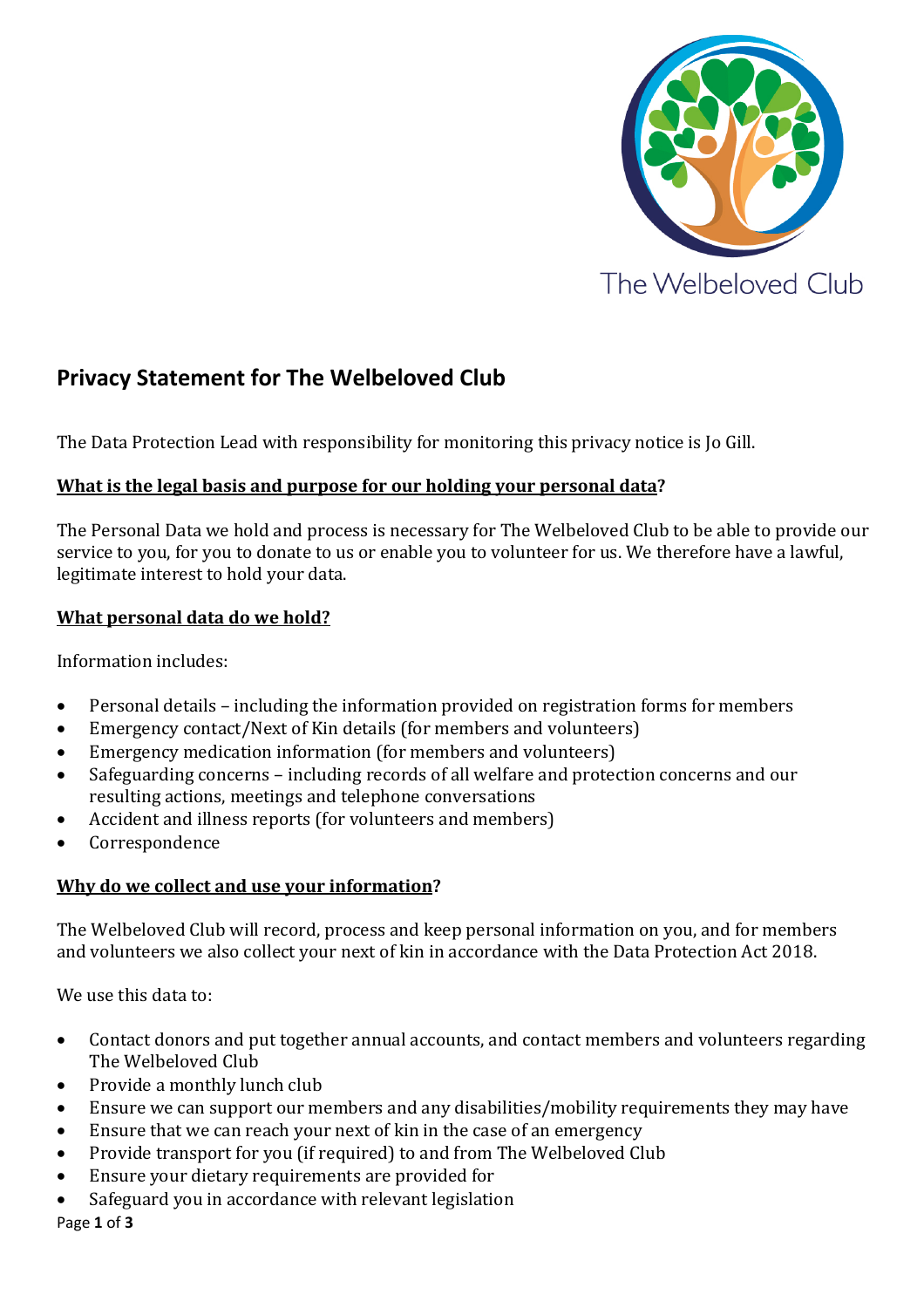

# **Privacy Statement for The Welbeloved Club**

The Data Protection Lead with responsibility for monitoring this privacy notice is Jo Gill.

# **What is the legal basis and purpose for our holding your personal data?**

The Personal Data we hold and process is necessary for The Welbeloved Club to be able to provide our service to you, for you to donate to us or enable you to volunteer for us. We therefore have a lawful, legitimate interest to hold your data.

# **What personal data do we hold?**

Information includes:

- Personal details including the information provided on registration forms for members
- Emergency contact/Next of Kin details (for members and volunteers)
- Emergency medication information (for members and volunteers)
- Safeguarding concerns including records of all welfare and protection concerns and our resulting actions, meetings and telephone conversations
- Accident and illness reports (for volunteers and members)
- **Correspondence**

# Why do we collect and use your information?

The Welbeloved Club will record, process and keep personal information on you, and for members and volunteers we also collect your next of kin in accordance with the Data Protection Act 2018.

We use this data to:

- Contact donors and put together annual accounts, and contact members and volunteers regarding The Welbeloved Club
- Provide a monthly lunch club
- Ensure we can support our members and any disabilities/mobility requirements they may have
- Ensure that we can reach your next of kin in the case of an emergency
- Provide transport for you (if required) to and from The Welbeloved Club
- Ensure your dietary requirements are provided for
- Safeguard you in accordance with relevant legislation

Page **1** of **3**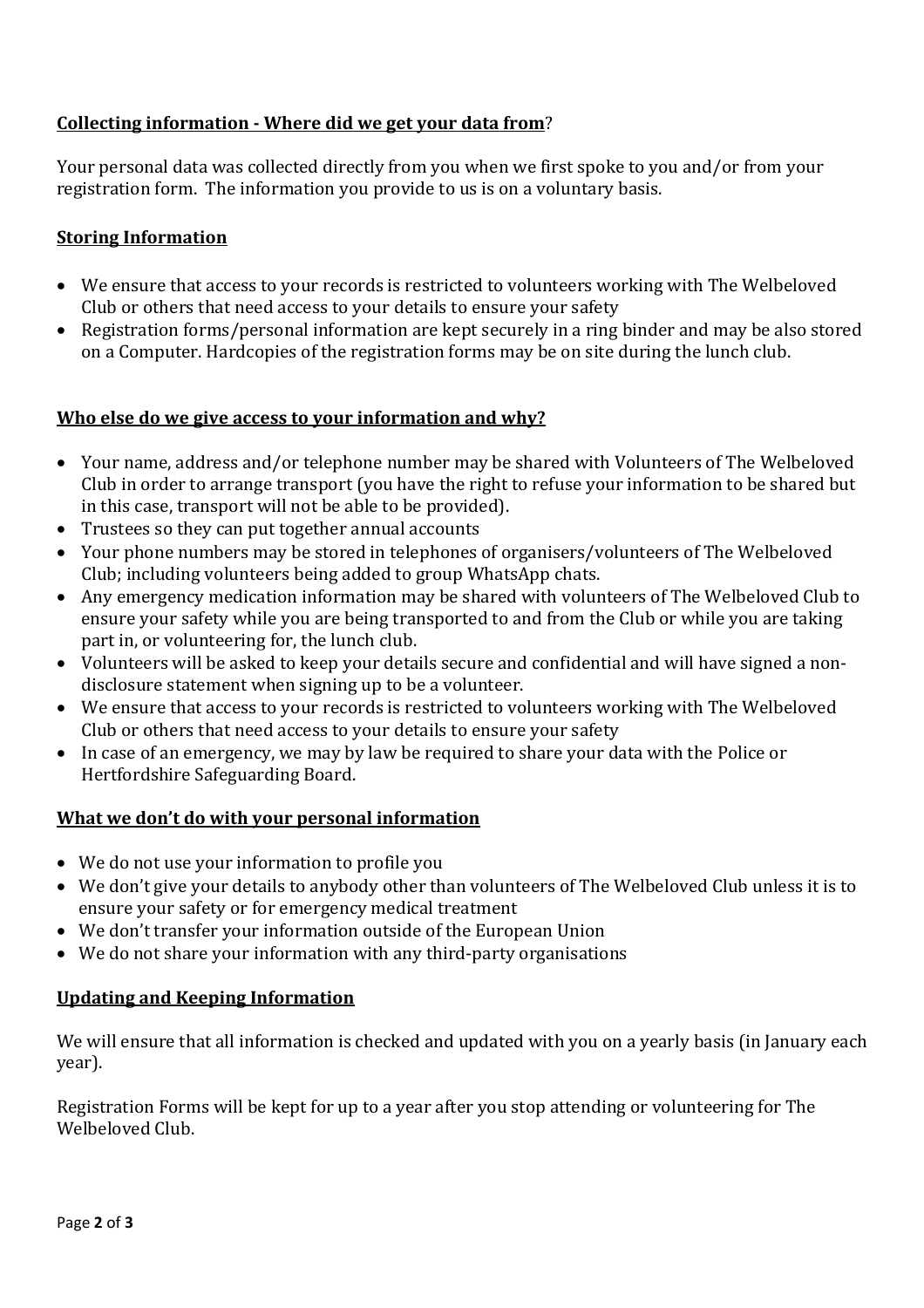# **<u>Collecting information - Where did we get your data from?</u>**

Your personal data was collected directly from you when we first spoke to you and/or from your registration form. The information you provide to us is on a voluntary basis.

## **Storing Information**

- We ensure that access to your records is restricted to volunteers working with The Welbeloved Club or others that need access to your details to ensure your safety
- Registration forms/personal information are kept securely in a ring binder and may be also stored on a Computer. Hardcopies of the registration forms may be on site during the lunch club.

#### Who else do we give access to your information and why?

- Your name, address and/or telephone number may be shared with Volunteers of The Welbeloved Club in order to arrange transport (you have the right to refuse your information to be shared but in this case, transport will not be able to be provided).
- Trustees so they can put together annual accounts
- Your phone numbers may be stored in telephones of organisers/volunteers of The Welbeloved Club; including volunteers being added to group WhatsApp chats.
- Any emergency medication information may be shared with volunteers of The Welbeloved Club to ensure your safety while you are being transported to and from the Club or while you are taking part in, or volunteering for, the lunch club.
- Volunteers will be asked to keep your details secure and confidential and will have signed a nondisclosure statement when signing up to be a volunteer.
- We ensure that access to your records is restricted to volunteers working with The Welbeloved Club or others that need access to your details to ensure your safety
- In case of an emergency, we may by law be required to share your data with the Police or Hertfordshire Safeguarding Board.

#### **What we don't do with your personal information**

- We do not use your information to profile you
- We don't give your details to anybody other than volunteers of The Welbeloved Club unless it is to ensure your safety or for emergency medical treatment
- We don't transfer your information outside of the European Union
- We do not share your information with any third-party organisations

#### **Updating and Keeping Information**

We will ensure that all information is checked and updated with you on a yearly basis (in January each year).

Registration Forms will be kept for up to a year after you stop attending or volunteering for The Welbeloved Club.